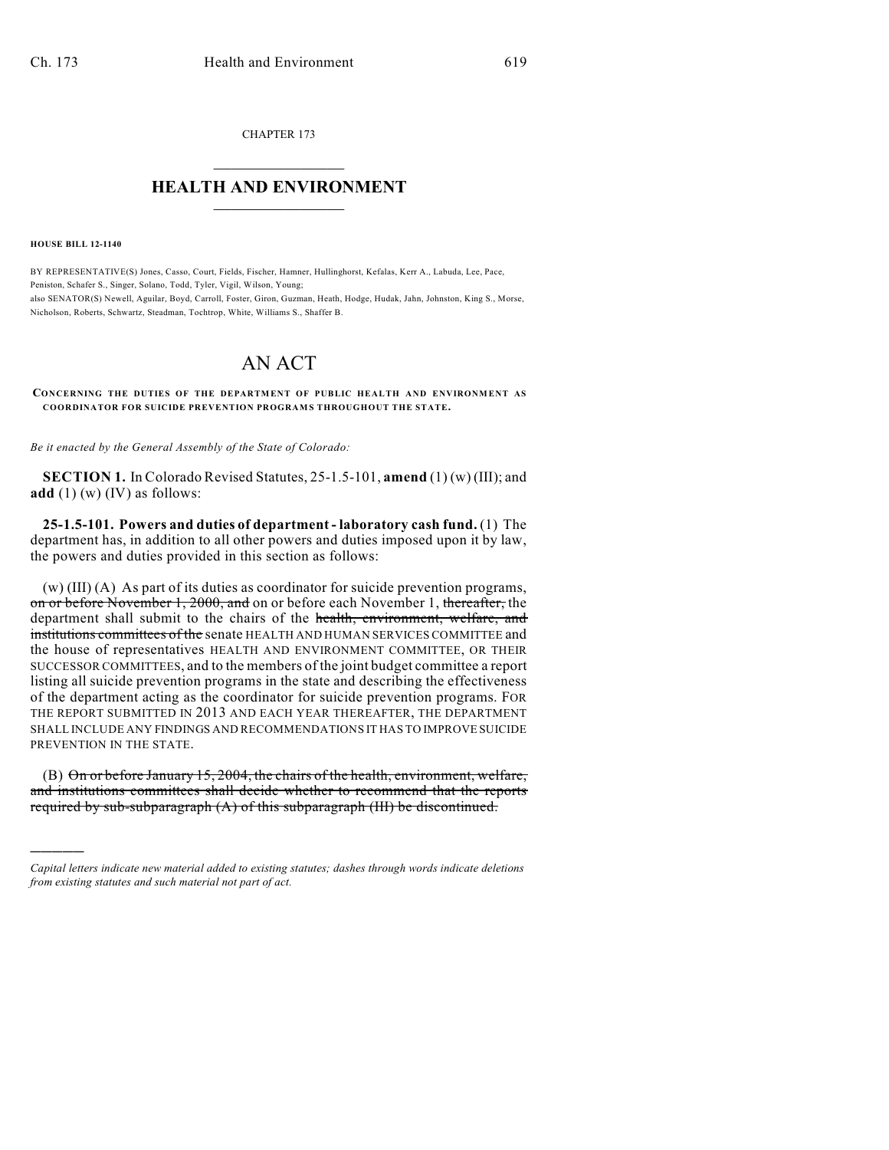CHAPTER 173  $\overline{\phantom{a}}$  . The set of the set of the set of the set of the set of the set of the set of the set of the set of the set of the set of the set of the set of the set of the set of the set of the set of the set of the set o

## **HEALTH AND ENVIRONMENT**  $\_$

**HOUSE BILL 12-1140**

)))))

BY REPRESENTATIVE(S) Jones, Casso, Court, Fields, Fischer, Hamner, Hullinghorst, Kefalas, Kerr A., Labuda, Lee, Pace, Peniston, Schafer S., Singer, Solano, Todd, Tyler, Vigil, Wilson, Young; also SENATOR(S) Newell, Aguilar, Boyd, Carroll, Foster, Giron, Guzman, Heath, Hodge, Hudak, Jahn, Johnston, King S., Morse, Nicholson, Roberts, Schwartz, Steadman, Tochtrop, White, Williams S., Shaffer B.

## AN ACT

**CONCERNING THE DUTIES OF THE DEPARTMENT OF PUBLIC HEALTH AND ENVIRONMENT AS COORDINATOR FOR SUICIDE PREVENTION PROGRAMS THROUGHOUT THE STATE.**

*Be it enacted by the General Assembly of the State of Colorado:*

**SECTION 1.** In Colorado Revised Statutes, 25-1.5-101, **amend** (1) (w) (III); and **add** (1) (w) (IV) as follows:

**25-1.5-101. Powers and duties of department - laboratory cash fund.** (1) The department has, in addition to all other powers and duties imposed upon it by law, the powers and duties provided in this section as follows:

(w) (III) (A) As part of its duties as coordinator for suicide prevention programs, on or before November 1, 2000, and on or before each November 1, thereafter, the department shall submit to the chairs of the health, environment, welfare, and institutions committees of the senate HEALTH AND HUMAN SERVICES COMMITTEE and the house of representatives HEALTH AND ENVIRONMENT COMMITTEE, OR THEIR SUCCESSOR COMMITTEES, and to the members of the joint budget committee a report listing all suicide prevention programs in the state and describing the effectiveness of the department acting as the coordinator for suicide prevention programs. FOR THE REPORT SUBMITTED IN 2013 AND EACH YEAR THEREAFTER, THE DEPARTMENT SHALL INCLUDE ANY FINDINGS AND RECOMMENDATIONS IT HAS TO IMPROVE SUICIDE PREVENTION IN THE STATE.

(B) On or before January 15, 2004, the chairs of the health, environment, welfare, and institutions committees shall decide whether to recommend that the reports required by sub-subparagraph (A) of this subparagraph (III) be discontinued.

*Capital letters indicate new material added to existing statutes; dashes through words indicate deletions from existing statutes and such material not part of act.*